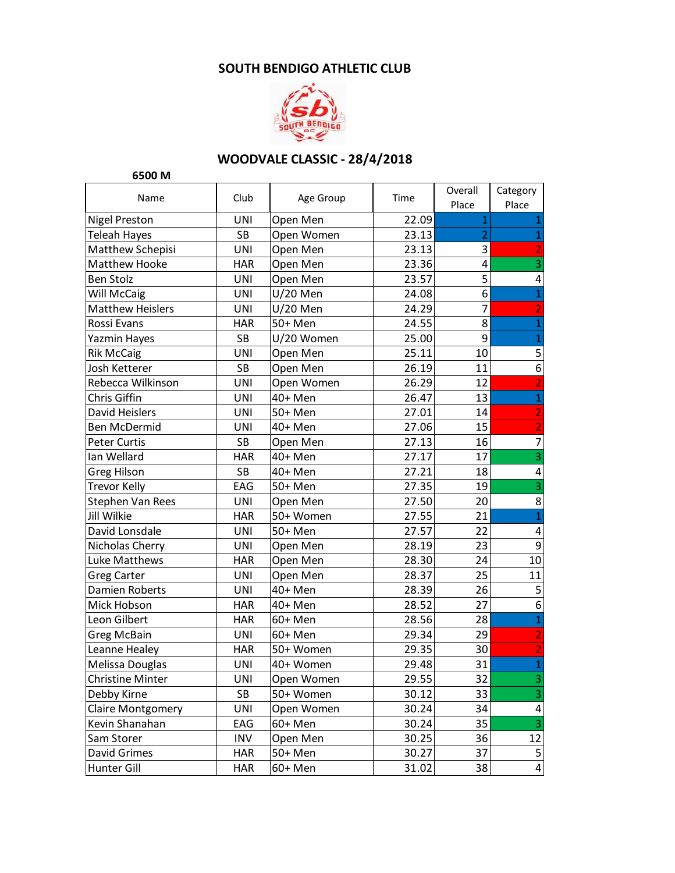## **SOUTH BENDIGO ATHLETIC CLUB**



## **WOODVALE CLASSIC - 28/4/2018**

**6500 M**

| Name                     | Club       | Age Group  | Time  | Overall<br>Place        | Category<br>Place       |
|--------------------------|------------|------------|-------|-------------------------|-------------------------|
| <b>Nigel Preston</b>     | UNI        | Open Men   | 22.09 | 1                       | $\mathbf{1}$            |
| Teleah Hayes             | SB         | Open Women | 23.13 | $\overline{2}$          | $\mathbf{1}$            |
| Matthew Schepisi         | UNI        | Open Men   | 23.13 | 3                       | $\overline{2}$          |
| <b>Matthew Hooke</b>     | <b>HAR</b> | Open Men   | 23.36 | $\overline{\mathbf{4}}$ | $\mathsf 3$             |
| <b>Ben Stolz</b>         | UNI        | Open Men   | 23.57 | 5                       | 4                       |
| Will McCaig              | UNI        | $U/20$ Men | 24.08 | 6                       | $\mathbf 1$             |
| <b>Matthew Heislers</b>  | UNI        | U/20 Men   | 24.29 | $\overline{7}$          | $\overline{2}$          |
| Rossi Evans              | <b>HAR</b> | 50+ Men    | 24.55 | 8                       | $\mathbf{1}$            |
| Yazmin Hayes             | <b>SB</b>  | U/20 Women | 25.00 | 9                       | $\mathbf 1$             |
| <b>Rik McCaig</b>        | UNI        | Open Men   | 25.11 | 10                      | $\mathsf S$             |
| Josh Ketterer            | <b>SB</b>  | Open Men   | 26.19 | 11                      | $\boldsymbol{6}$        |
| Rebecca Wilkinson        | UNI        | Open Women | 26.29 | 12                      | $\overline{2}$          |
| Chris Giffin             | UNI        | 40+ Men    | 26.47 | 13                      | $\mathbf 1$             |
| David Heislers           | UNI        | 50+ Men    | 27.01 | 14                      | $\overline{2}$          |
| <b>Ben McDermid</b>      | UNI        | 40+ Men    | 27.06 | 15                      | $\overline{2}$          |
| <b>Peter Curtis</b>      | SB         | Open Men   | 27.13 | 16                      | $\overline{7}$          |
| Ian Wellard              | <b>HAR</b> | 40+ Men    | 27.17 | 17                      | $\overline{\mathbf{3}}$ |
| Greg Hilson              | SB         | 40+ Men    | 27.21 | 18                      | 4                       |
| <b>Trevor Kelly</b>      | EAG        | 50+ Men    | 27.35 | 19                      | $\overline{\mathbf{3}}$ |
| Stephen Van Rees         | UNI        | Open Men   | 27.50 | 20                      | 8                       |
| Jill Wilkie              | <b>HAR</b> | 50+ Women  | 27.55 | 21                      | $\mathbf 1$             |
| David Lonsdale           | UNI        | 50+ Men    | 27.57 | 22                      | 4                       |
| Nicholas Cherry          | UNI        | Open Men   | 28.19 | 23                      | $\boldsymbol{9}$        |
| <b>Luke Matthews</b>     | <b>HAR</b> | Open Men   | 28.30 | 24                      | 10                      |
| <b>Greg Carter</b>       | UNI        | Open Men   | 28.37 | 25                      | 11                      |
| Damien Roberts           | UNI        | 40+ Men    | 28.39 | 26                      | 5                       |
| Mick Hobson              | <b>HAR</b> | 40+ Men    | 28.52 | 27                      | $\overline{6}$          |
| Leon Gilbert             | <b>HAR</b> | 60+ Men    | 28.56 | 28                      | $\mathbf 1$             |
| <b>Greg McBain</b>       | UNI        | 60+ Men    | 29.34 | 29                      | $\overline{2}$          |
| Leanne Healey            | <b>HAR</b> | 50+ Women  | 29.35 | 30                      | $\overline{2}$          |
| Melissa Douglas          | UNI        | 40+ Women  | 29.48 | 31                      | $\mathbf 1$             |
| <b>Christine Minter</b>  | UNI        | Open Women | 29.55 | 32                      | 3                       |
| Debby Kirne              | SB         | 50+ Women  | 30.12 | 33                      | 3                       |
| <b>Claire Montgomery</b> | UNI        | Open Women | 30.24 | 34                      | 4                       |
| Kevin Shanahan           | EAG        | 60+ Men    | 30.24 | 35                      | 3                       |
| Sam Storer               | <b>INV</b> | Open Men   | 30.25 | 36                      | 12                      |
| David Grimes             | <b>HAR</b> | 50+ Men    | 30.27 | 37                      | 5                       |
| Hunter Gill              | <b>HAR</b> | 60+ Men    | 31.02 | 38                      | 4                       |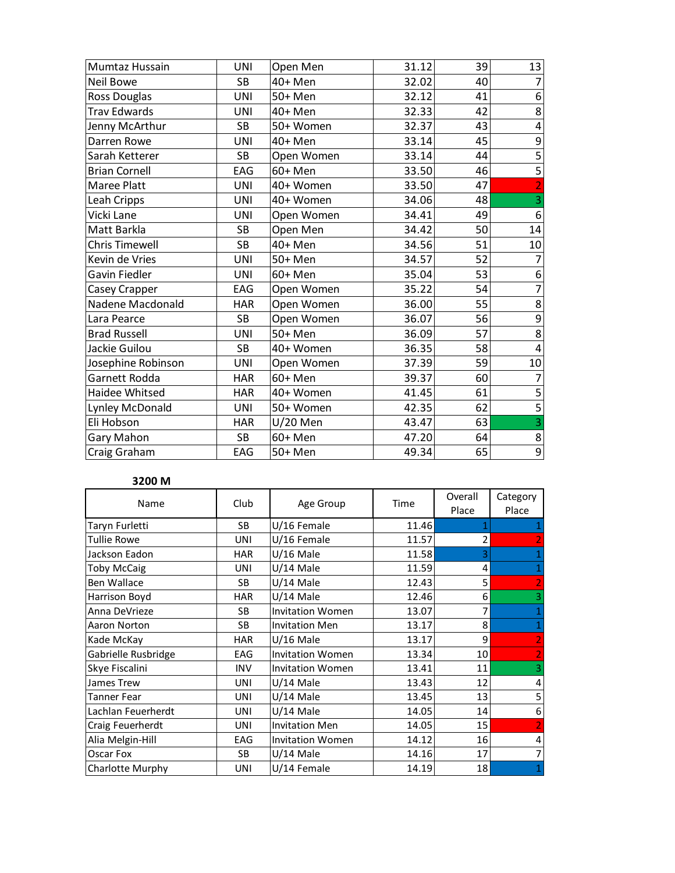| UNI        | Open Men   | 31.12 | 39 | 13                      |
|------------|------------|-------|----|-------------------------|
| <b>SB</b>  | 40+ Men    | 32.02 | 40 |                         |
| UNI        | 50+ Men    | 32.12 | 41 | 6                       |
| UNI        | 40+ Men    | 32.33 | 42 | $\bf 8$                 |
| <b>SB</b>  | 50+ Women  | 32.37 | 43 | 4                       |
| <b>UNI</b> | 40+ Men    | 33.14 | 45 | 9                       |
| SB         | Open Women | 33.14 | 44 | $\overline{\mathbf{5}}$ |
| EAG        | 60+ Men    |       | 46 | $\overline{5}$          |
| <b>UNI</b> | 40+ Women  | 33.50 | 47 | $\overline{2}$          |
| UNI        | 40+ Women  | 34.06 | 48 | 3                       |
| UNI        | Open Women | 34.41 | 49 | $\boldsymbol{6}$        |
| <b>SB</b>  | Open Men   | 34.42 | 50 | 14                      |
| <b>SB</b>  | 40+ Men    | 34.56 | 51 | 10                      |
| UNI        | 50+ Men    | 34.57 | 52 | $\overline{7}$          |
| UNI        | 60+ Men    | 35.04 | 53 | 6                       |
| EAG        | Open Women | 35.22 | 54 | $\overline{7}$          |
| <b>HAR</b> | Open Women |       | 55 | 8                       |
| <b>SB</b>  | Open Women | 36.07 | 56 | 9                       |
| UNI        | 50+ Men    | 36.09 | 57 | 8                       |
| SB         | 40+ Women  | 36.35 | 58 | $\overline{4}$          |
| UNI        | Open Women | 37.39 | 59 | 10                      |
| <b>HAR</b> | 60+ Men    | 39.37 | 60 | 7                       |
| <b>HAR</b> | 40+ Women  | 41.45 | 61 | 5                       |
| UNI        | 50+ Women  | 42.35 | 62 | 5                       |
| <b>HAR</b> | $U/20$ Men | 43.47 | 63 | 3                       |
| <b>SB</b>  | 60+ Men    | 47.20 | 64 | $\overline{\bf 8}$      |
| EAG        | 50+ Men    | 49.34 | 65 | $\overline{9}$          |
|            |            |       |    | 33.50<br>36.00          |

## **3200 M**

| Name                | Club       | Age Group               | Time  | Overall<br>Place | Category<br>Place |
|---------------------|------------|-------------------------|-------|------------------|-------------------|
| Taryn Furletti      | SB         | U/16 Female             | 11.46 |                  | 1                 |
| <b>Tullie Rowe</b>  | <b>UNI</b> | U/16 Female             | 11.57 |                  | $\overline{2}$    |
| Jackson Eadon       | <b>HAR</b> | $U/16$ Male             | 11.58 | 3                | 1                 |
| <b>Toby McCaig</b>  | UNI        | $U/14$ Male             | 11.59 | 4                | 1                 |
| <b>Ben Wallace</b>  | SB         | $U/14$ Male             | 12.43 | 5                | $\overline{2}$    |
| Harrison Boyd       | <b>HAR</b> | $U/14$ Male             | 12.46 | 6                | 3                 |
| Anna DeVrieze       | SB         | <b>Invitation Women</b> | 13.07 | 7                | $\mathbf{1}$      |
| Aaron Norton        | SB         | <b>Invitation Men</b>   | 13.17 | 8                | $\mathbf{1}$      |
| Kade McKay          | <b>HAR</b> | $U/16$ Male             | 13.17 | 9                | $\vert$ 2         |
| Gabrielle Rusbridge | EAG        | <b>Invitation Women</b> | 13.34 | 10               | $\overline{2}$    |
| Skye Fiscalini      | <b>INV</b> | <b>Invitation Women</b> | 13.41 | 11               | 3                 |
| James Trew          | <b>UNI</b> | $U/14$ Male             | 13.43 | 12               | 4                 |
| <b>Tanner Fear</b>  | <b>UNI</b> | $U/14$ Male             | 13.45 | 13               | 5                 |
| Lachlan Feuerherdt  | UNI        | $U/14$ Male             | 14.05 | 14               | 6                 |
| Craig Feuerherdt    | <b>UNI</b> | <b>Invitation Men</b>   | 14.05 | 15               | $\overline{2}$    |
| Alia Melgin-Hill    | EAG        | <b>Invitation Women</b> | 14.12 | 16               | 4                 |
| Oscar Fox           | SB         | $U/14$ Male             | 14.16 | 17               | 7                 |
| Charlotte Murphy    | UNI        | U/14 Female             | 14.19 | 18               | 1                 |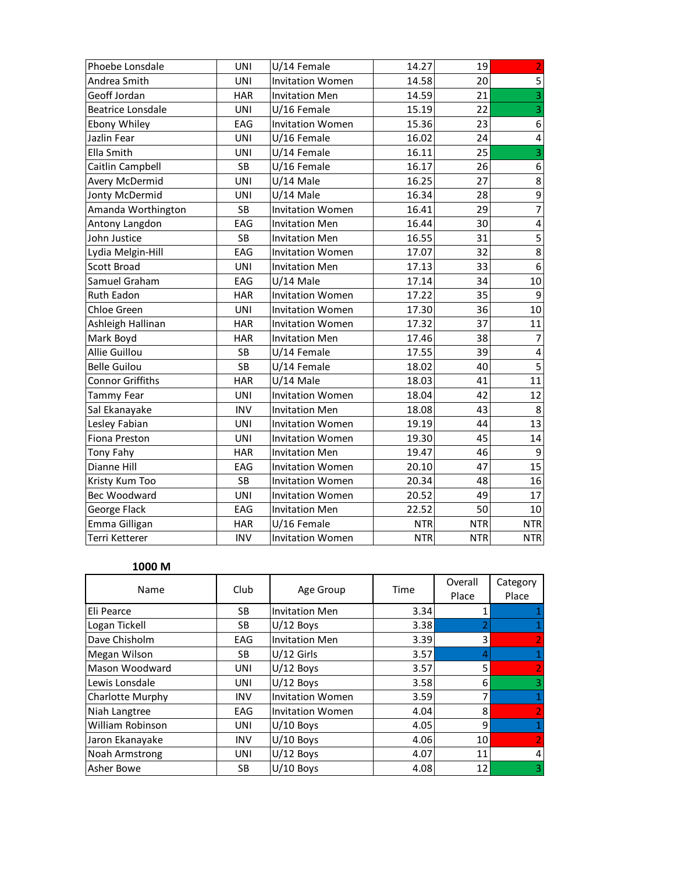| Phoebe Lonsdale          | <b>UNI</b> | U/14 Female             | 14.27      | 19         | $\overline{2}$          |
|--------------------------|------------|-------------------------|------------|------------|-------------------------|
| Andrea Smith             | <b>UNI</b> | <b>Invitation Women</b> | 14.58      | 20         | 5                       |
| Geoff Jordan             | <b>HAR</b> | <b>Invitation Men</b>   | 14.59      | 21         | $\overline{3}$          |
| <b>Beatrice Lonsdale</b> | <b>UNI</b> | U/16 Female             | 15.19      | 22         | $\overline{3}$          |
| Ebony Whiley             | EAG        | <b>Invitation Women</b> | 15.36      | 23         | 6                       |
| Jazlin Fear              | <b>UNI</b> | U/16 Female             | 16.02      | 24         | $\overline{\mathbf{4}}$ |
| Ella Smith               | <b>UNI</b> | U/14 Female             | 16.11      | 25         | 3                       |
| Caitlin Campbell         | <b>SB</b>  | U/16 Female             | 16.17      | 26         | $\boldsymbol{6}$        |
| Avery McDermid           | <b>UNI</b> | $U/14$ Male             | 16.25      | 27         | $\bf 8$                 |
| Jonty McDermid           | <b>UNI</b> | U/14 Male               | 16.34      | 28         | 9                       |
| Amanda Worthington       | SB         | <b>Invitation Women</b> | 16.41      | 29         | $\overline{7}$          |
| Antony Langdon           | EAG        | <b>Invitation Men</b>   | 16.44      | 30         | $\overline{4}$          |
| John Justice             | <b>SB</b>  | <b>Invitation Men</b>   | 16.55      | 31         | $\overline{5}$          |
| Lydia Melgin-Hill        | EAG        | <b>Invitation Women</b> | 17.07      | 32         | 8                       |
| <b>Scott Broad</b>       | <b>UNI</b> | <b>Invitation Men</b>   | 17.13      | 33         | 6                       |
| Samuel Graham            | EAG        | U/14 Male               | 17.14      | 34         | 10                      |
| Ruth Eadon               | <b>HAR</b> | <b>Invitation Women</b> | 17.22      | 35         | $\boldsymbol{9}$        |
| Chloe Green              | <b>UNI</b> | <b>Invitation Women</b> | 17.30      | 36         | 10                      |
| Ashleigh Hallinan        | <b>HAR</b> | <b>Invitation Women</b> | 17.32      | 37         | 11                      |
| Mark Boyd                | <b>HAR</b> | <b>Invitation Men</b>   | 17.46      | 38         | $\overline{7}$          |
| Allie Guillou            | <b>SB</b>  | U/14 Female             | 17.55      | 39         | $\overline{4}$          |
| <b>Belle Guilou</b>      | <b>SB</b>  | U/14 Female             | 18.02      | 40         | $\overline{5}$          |
| <b>Connor Griffiths</b>  | <b>HAR</b> | U/14 Male               | 18.03      | 41         | 11                      |
| Tammy Fear               | <b>UNI</b> | <b>Invitation Women</b> | 18.04      | 42         | 12                      |
| Sal Ekanayake            | <b>INV</b> | <b>Invitation Men</b>   | 18.08      | 43         | 8                       |
| Lesley Fabian            | <b>UNI</b> | <b>Invitation Women</b> | 19.19      | 44         | $\overline{13}$         |
| Fiona Preston            | <b>UNI</b> | <b>Invitation Women</b> | 19.30      | 45         | 14                      |
| Tony Fahy                | <b>HAR</b> | <b>Invitation Men</b>   | 19.47      | 46         | 9                       |
| Dianne Hill              | EAG        | <b>Invitation Women</b> | 20.10      | 47         | 15                      |
| Kristy Kum Too           | <b>SB</b>  | <b>Invitation Women</b> | 20.34      | 48         | 16                      |
| Bec Woodward             | <b>UNI</b> | <b>Invitation Women</b> | 20.52      | 49         | 17                      |
| George Flack             | EAG        | <b>Invitation Men</b>   | 22.52      | 50         | 10                      |
| Emma Gilligan            | <b>HAR</b> | U/16 Female             | <b>NTR</b> | <b>NTR</b> | <b>NTR</b>              |
| Terri Ketterer           | <b>INV</b> | <b>Invitation Women</b> | <b>NTR</b> | <b>NTR</b> | <b>NTR</b>              |

## **1000 M**

| Name             | Club       | Age Group               | Time | Overall | Category       |
|------------------|------------|-------------------------|------|---------|----------------|
|                  |            |                         |      | Place   | Place          |
| Eli Pearce       | SB         | <b>Invitation Men</b>   | 3.34 |         |                |
| Logan Tickell    | SB         | $U/12$ Boys             | 3.38 |         |                |
| Dave Chisholm    | EAG        | <b>Invitation Men</b>   | 3.39 | 3       | 2              |
| Megan Wilson     | SB         | $U/12$ Girls            | 3.57 | 4       |                |
| Mason Woodward   | <b>UNI</b> | $U/12$ Boys             | 3.57 | 5       | $\overline{2}$ |
| Lewis Lonsdale   | <b>UNI</b> | $U/12$ Boys             | 3.58 | 6       | 3              |
| Charlotte Murphy | <b>INV</b> | <b>Invitation Women</b> | 3.59 | 7       |                |
| Niah Langtree    | EAG        | <b>Invitation Women</b> | 4.04 | 8       | O              |
| William Robinson | <b>UNI</b> | $U/10$ Boys             | 4.05 | 9       | 1              |
| Jaron Ekanayake  | <b>INV</b> | $U/10$ Boys             | 4.06 | 10      | $\overline{2}$ |
| Noah Armstrong   | <b>UNI</b> | $U/12$ Boys             | 4.07 | 11      | 4              |
| Asher Bowe       | SB         | $U/10$ Boys             | 4.08 | 12      | 3              |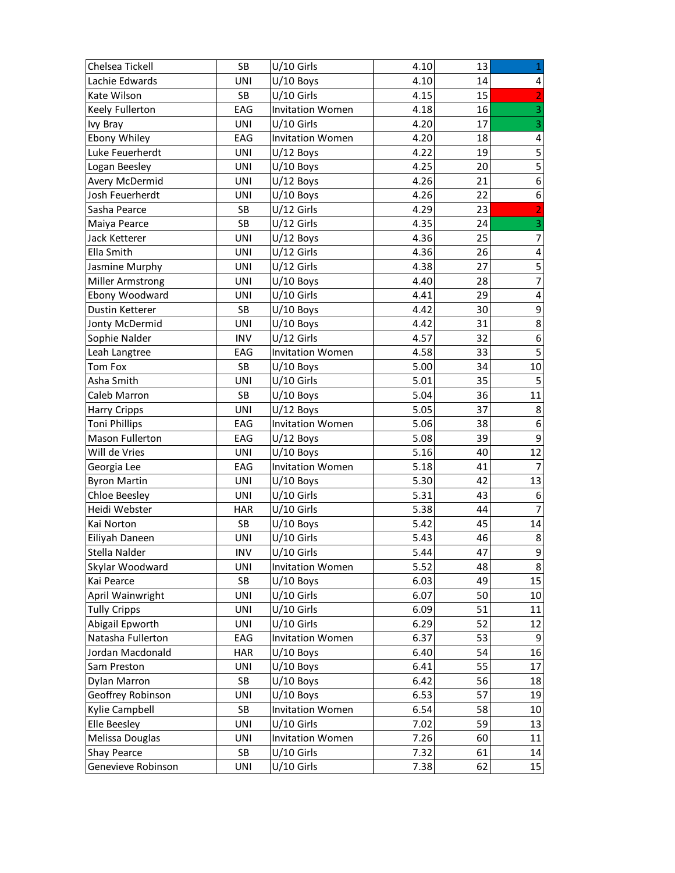| Chelsea Tickell         | <b>SB</b>  | $U/10$ Girls            | 4.10 | 13 | $\mathbf 1$             |
|-------------------------|------------|-------------------------|------|----|-------------------------|
| Lachie Edwards          | UNI        | $U/10$ Boys             | 4.10 | 14 | 4                       |
| Kate Wilson             | SB         | $U/10$ Girls            | 4.15 | 15 | $\overline{2}$          |
| Keely Fullerton         | EAG        | <b>Invitation Women</b> | 4.18 | 16 | $\overline{3}$          |
| lvy Bray                | <b>UNI</b> | $U/10$ Girls            | 4.20 | 17 | $\overline{3}$          |
| Ebony Whiley            | EAG        | <b>Invitation Women</b> | 4.20 | 18 | $\pmb{4}$               |
| Luke Feuerherdt         | <b>UNI</b> | $U/12$ Boys             | 4.22 | 19 | $\overline{5}$          |
| Logan Beesley           | <b>UNI</b> | $U/10$ Boys             | 4.25 | 20 | 5                       |
| Avery McDermid          | <b>UNI</b> | $U/12$ Boys             | 4.26 | 21 | $\boldsymbol{6}$        |
| Josh Feuerherdt         | UNI        | $U/10$ Boys             | 4.26 | 22 | $\boldsymbol{6}$        |
| Sasha Pearce            | SB         | U/12 Girls              | 4.29 | 23 | 2                       |
| Maiya Pearce            | SB         | $U/12$ Girls            | 4.35 | 24 | $\overline{3}$          |
| Jack Ketterer           | UNI        | $U/12$ Boys             | 4.36 | 25 | $\overline{7}$          |
| Ella Smith              | <b>UNI</b> | $U/12$ Girls            | 4.36 | 26 | $\overline{\mathbf{4}}$ |
| Jasmine Murphy          | <b>UNI</b> | $U/12$ Girls            | 4.38 | 27 | 5                       |
| <b>Miller Armstrong</b> | UNI        | $U/10$ Boys             | 4.40 | 28 | $\overline{7}$          |
| Ebony Woodward          | <b>UNI</b> | U/10 Girls              | 4.41 | 29 | $\overline{\mathbf{4}}$ |
| Dustin Ketterer         | SB         | $U/10$ Boys             | 4.42 | 30 | 9                       |
| Jonty McDermid          | UNI        | $U/10$ Boys             | 4.42 | 31 | $\overline{8}$          |
| Sophie Nalder           | <b>INV</b> | U/12 Girls              | 4.57 | 32 | $\boldsymbol{6}$        |
| Leah Langtree           | EAG        | <b>Invitation Women</b> | 4.58 | 33 | $\overline{\mathbf{5}}$ |
| Tom Fox                 | SB         | $U/10$ Boys             | 5.00 | 34 | 10                      |
| Asha Smith              | UNI        | U/10 Girls              | 5.01 | 35 | 5                       |
| Caleb Marron            | SB         | $U/10$ Boys             | 5.04 | 36 | 11                      |
| <b>Harry Cripps</b>     | UNI        | $U/12$ Boys             | 5.05 | 37 | 8                       |
| <b>Toni Phillips</b>    | EAG        | <b>Invitation Women</b> | 5.06 | 38 | $\boldsymbol{6}$        |
| Mason Fullerton         | EAG        | $U/12$ Boys             | 5.08 | 39 | 9                       |
| Will de Vries           | UNI        | $U/10$ Boys             | 5.16 | 40 | 12                      |
| Georgia Lee             | EAG        | <b>Invitation Women</b> | 5.18 | 41 | 7                       |
| <b>Byron Martin</b>     | <b>UNI</b> | $U/10$ Boys             | 5.30 | 42 | 13                      |
| <b>Chloe Beesley</b>    | <b>UNI</b> | U/10 Girls              | 5.31 | 43 | 6                       |
| Heidi Webster           | <b>HAR</b> | $U/10$ Girls            | 5.38 | 44 | $\overline{7}$          |
| Kai Norton              | SB         | $U/10$ Boys             | 5.42 | 45 | 14                      |
| Eiliyah Daneen          | UNI        | $U/10$ Girls            | 5.43 | 46 | $\bf 8$                 |
| Stella Nalder           | <b>INV</b> | U/10 Girls              | 5.44 | 47 | $\overline{9}$          |
| Skylar Woodward         | UNI        | <b>Invitation Women</b> | 5.52 | 48 | $\bf 8$                 |
| Kai Pearce              | SB         | $U/10$ Boys             | 6.03 | 49 | 15                      |
| April Wainwright        | UNI        | $U/10$ Girls            | 6.07 | 50 | 10                      |
| <b>Tully Cripps</b>     | <b>UNI</b> | U/10 Girls              | 6.09 | 51 | 11                      |
| Abigail Epworth         | <b>UNI</b> | U/10 Girls              | 6.29 | 52 | 12                      |
| Natasha Fullerton       | EAG        | <b>Invitation Women</b> | 6.37 | 53 | 9                       |
| Jordan Macdonald        | <b>HAR</b> | $U/10$ Boys             | 6.40 | 54 | 16                      |
| Sam Preston             | <b>UNI</b> | $U/10$ Boys             | 6.41 | 55 | 17                      |
| Dylan Marron            | SB         | $U/10$ Boys             | 6.42 | 56 | 18                      |
| Geoffrey Robinson       | UNI        | $U/10$ Boys             | 6.53 | 57 | 19                      |
| Kylie Campbell          | SB         | <b>Invitation Women</b> | 6.54 | 58 | 10                      |
| Elle Beesley            | UNI        | U/10 Girls              | 7.02 | 59 | 13                      |
| Melissa Douglas         | <b>UNI</b> | <b>Invitation Women</b> | 7.26 | 60 | 11                      |
| Shay Pearce             | SB         | U/10 Girls              | 7.32 | 61 | 14                      |
| Genevieve Robinson      | UNI        | $U/10$ Girls            | 7.38 | 62 | 15                      |